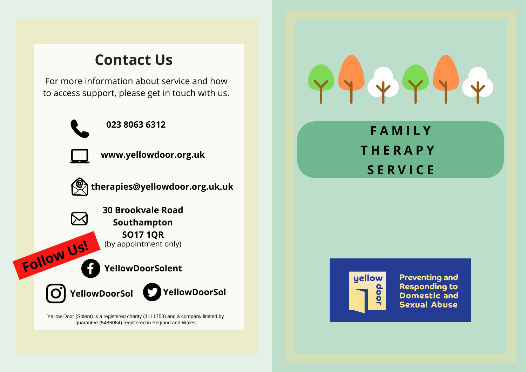# **Contact Us**

For more information about service and how to access support, please get in touch with us.



**023 8063 6312**



**www.yellowdoor.org.uk**



 $\boldsymbol{\times}$ 

**therapies@yellowdoor.org.uk.uk**

**30 Brookvale Road Southampton SO17 1QR** (by appointment only) **Follow Us!**

**YellowDoorSolent**

**YellowDoorSol YellowDoorSol**

Yellow Door (Solent) is a registered charity (1111753) and a company limited by guarantee (5486084) registered in England and Wales.



**F A M I L Y T H E R A P Y S E R V I C E**



**Preventing and Responding to Domestic and Sexual Abuse**